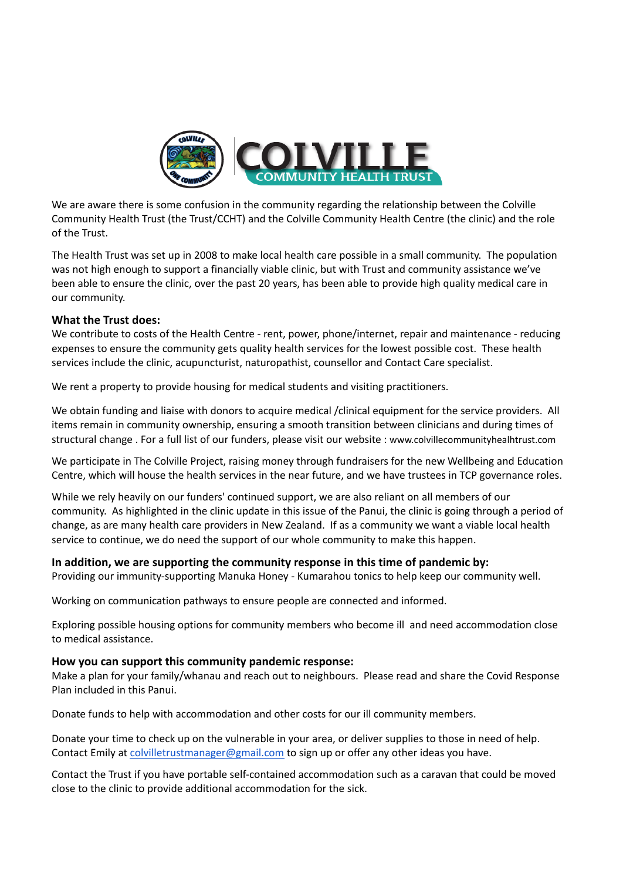

We are aware there is some confusion in the community regarding the relationship between the Colville Community Health Trust (the Trust/CCHT) and the Colville Community Health Centre (the clinic) and the role of the Trust.

The Health Trust was set up in 2008 to make local health care possible in a small community. The population was not high enough to support a financially viable clinic, but with Trust and community assistance we've been able to ensure the clinic, over the past 20 years, has been able to provide high quality medical care in our community.

## **What the Trust does:**

We contribute to costs of the Health Centre - rent, power, phone/internet, repair and maintenance - reducing expenses to ensure the community gets quality health services for the lowest possible cost. These health services include the clinic, acupuncturist, naturopathist, counsellor and Contact Care specialist.

We rent a property to provide housing for medical students and visiting practitioners.

We obtain funding and liaise with donors to acquire medical /clinical equipment for the service providers. All items remain in community ownership, ensuring a smooth transition between clinicians and during times of structural change . For a full list of our funders, please visit our website : www.colvillecommunityhealhtrust.com

We participate in The Colville Project, raising money through fundraisers for the new Wellbeing and Education Centre, which will house the health services in the near future, and we have trustees in TCP governance roles.

While we rely heavily on our funders' continued support, we are also reliant on all members of our community. As highlighted in the clinic update in this issue of the Panui, the clinic is going through a period of change, as are many health care providers in New Zealand. If as a community we want a viable local health service to continue, we do need the support of our whole community to make this happen.

## **In addition, we are supporting the community response in this time of pandemic by:**

Providing our immunity-supporting Manuka Honey - Kumarahou tonics to help keep our community well.

Working on communication pathways to ensure people are connected and informed.

Exploring possible housing options for community members who become ill and need accommodation close to medical assistance.

## **How you can support this community pandemic response:**

Make a plan for your family/whanau and reach out to neighbours. Please read and share the Covid Response Plan included in this Panui.

Donate funds to help with accommodation and other costs for our ill community members.

Donate your time to check up on the vulnerable in your area, or deliver supplies to those in need of help. Contact Emily at [colvilletrustmanager@gmail.com](mailto:colvilletrustmanager@gmail.com) to sign up or offer any other ideas you have.

Contact the Trust if you have portable self-contained accommodation such as a caravan that could be moved close to the clinic to provide additional accommodation for the sick.